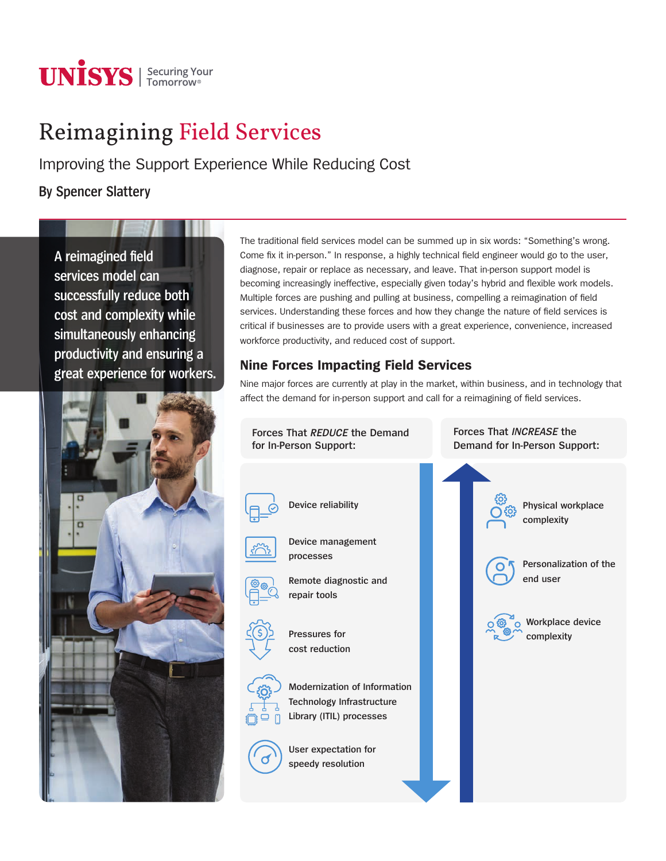

# Reimagining Field Services

Improving the Support Experience While Reducing Cost

**By Spencer Slattery**

**A reimagined field services model can successfully reduce both cost and complexity while simultaneously enhancing productivity and ensuring a great experience for workers.**



The traditional field services model can be summed up in six words: "Something's wrong. Come fix it in-person." In response, a highly technical field engineer would go to the user, diagnose, repair or replace as necessary, and leave. That in-person support model is becoming increasingly ineffective, especially given today's hybrid and flexible work models. Multiple forces are pushing and pulling at business, compelling a reimagination of field services. Understanding these forces and how they change the nature of field services is critical if businesses are to provide users with a great experience, convenience, increased workforce productivity, and reduced cost of support.

## **Nine Forces Impacting Field Services**

Nine major forces are currently at play in the market, within business, and in technology that affect the demand for in-person support and call for a reimagining of field services.

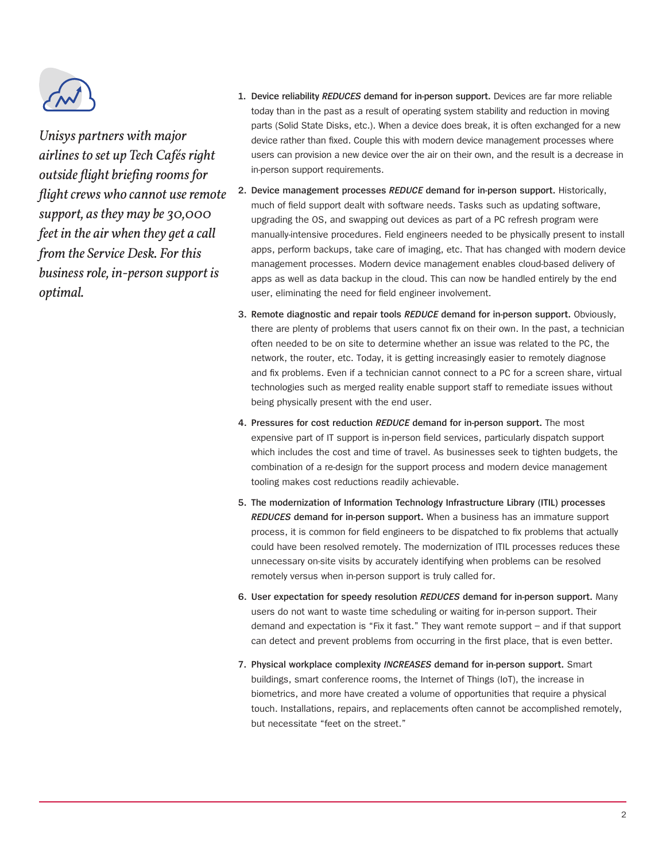

*Unisys partners with major airlines to set up Tech Cafés right outside flight briefing rooms for flight crews who cannot use remote support, as they may be 30,000 feet in the air when they get a call from the Service Desk. For this business role, in-person support is optimal.*

- **1. Device reliability** *REDUCES* **demand for in-person support.** Devices are far more reliable today than in the past as a result of operating system stability and reduction in moving parts (Solid State Disks, etc.). When a device does break, it is often exchanged for a new device rather than fixed. Couple this with modern device management processes where users can provision a new device over the air on their own, and the result is a decrease in in-person support requirements.
- **2. Device management processes** *REDUCE* **demand for in-person support.** Historically, much of field support dealt with software needs. Tasks such as updating software, upgrading the OS, and swapping out devices as part of a PC refresh program were manually-intensive procedures. Field engineers needed to be physically present to install apps, perform backups, take care of imaging, etc. That has changed with modern device management processes. Modern device management enables cloud-based delivery of apps as well as data backup in the cloud. This can now be handled entirely by the end user, eliminating the need for field engineer involvement.
- **3. Remote diagnostic and repair tools** *REDUCE* **demand for in-person support.** Obviously, there are plenty of problems that users cannot fix on their own. In the past, a technician often needed to be on site to determine whether an issue was related to the PC, the network, the router, etc. Today, it is getting increasingly easier to remotely diagnose and fix problems. Even if a technician cannot connect to a PC for a screen share, virtual technologies such as merged reality enable support staff to remediate issues without being physically present with the end user.
- **4. Pressures for cost reduction** *REDUCE* **demand for in-person support.** The most expensive part of IT support is in-person field services, particularly dispatch support which includes the cost and time of travel. As businesses seek to tighten budgets, the combination of a re-design for the support process and modern device management tooling makes cost reductions readily achievable.
- **5. The modernization of Information Technology Infrastructure Library (ITIL) processes**  *REDUCES* **demand for in-person support.** When a business has an immature support process, it is common for field engineers to be dispatched to fix problems that actually could have been resolved remotely. The modernization of ITIL processes reduces these unnecessary on-site visits by accurately identifying when problems can be resolved remotely versus when in-person support is truly called for.
- **6. User expectation for speedy resolution** *REDUCES* **demand for in-person support.** Many users do not want to waste time scheduling or waiting for in-person support. Their demand and expectation is "Fix it fast." They want remote support – and if that support can detect and prevent problems from occurring in the first place, that is even better.
- **7. Physical workplace complexity** *INCREASES* **demand for in-person support.** Smart buildings, smart conference rooms, the Internet of Things (IoT), the increase in biometrics, and more have created a volume of opportunities that require a physical touch. Installations, repairs, and replacements often cannot be accomplished remotely, but necessitate "feet on the street."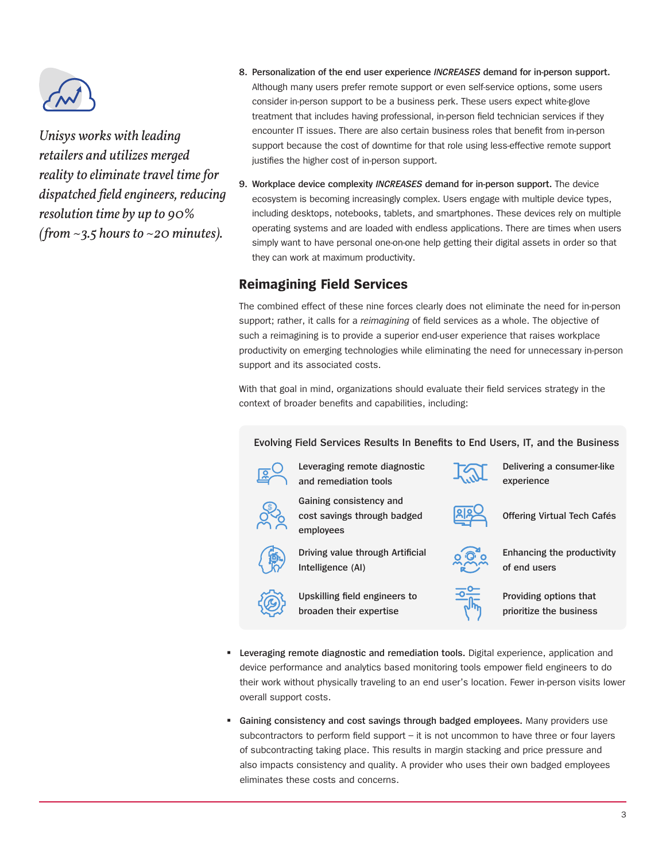

*Unisys works with leading retailers and utilizes merged reality to eliminate travel time for dispatched field engineers, reducing resolution time by up to 90% (from ~3.5 hours to ~20 minutes).*

- **8. Personalization of the end user experience** *INCREASES* **demand for in-person support.** Although many users prefer remote support or even self-service options, some users consider in-person support to be a business perk. These users expect white-glove treatment that includes having professional, in-person field technician services if they encounter IT issues. There are also certain business roles that benefit from in-person support because the cost of downtime for that role using less-effective remote support justifies the higher cost of in-person support.
- **9. Workplace device complexity** *INCREASES* **demand for in-person support.** The device ecosystem is becoming increasingly complex. Users engage with multiple device types, including desktops, notebooks, tablets, and smartphones. These devices rely on multiple operating systems and are loaded with endless applications. There are times when users simply want to have personal one-on-one help getting their digital assets in order so that they can work at maximum productivity.

## **Reimagining Field Services**

The combined effect of these nine forces clearly does not eliminate the need for in-person support; rather, it calls for a *reimagining* of field services as a whole. The objective of such a reimagining is to provide a superior end-user experience that raises workplace productivity on emerging technologies while eliminating the need for unnecessary in-person support and its associated costs.

With that goal in mind, organizations should evaluate their field services strategy in the context of broader benefits and capabilities, including:

### **Evolving Field Services Results In Benefits to End Users, IT, and the Business**



**Leveraging remote diagnostic and remediation tools** 

**Driving value through Artificial** 

**Upskilling field engineers to broaden their expertise**

**Gaining consistency and cost savings through badged** 

**employees** 

**Intelligence (AI)**



**Delivering a consumer-like experience** 



**Offering Virtual Tech Cafés**



**Enhancing the productivity of end users** 



- **Providing options that prioritize the business**
- **Leveraging remote diagnostic and remediation tools.** Digital experience, application and device performance and analytics based monitoring tools empower field engineers to do their work without physically traveling to an end user's location. Fewer in-person visits lower overall support costs.
- **Gaining consistency and cost savings through badged employees.** Many providers use subcontractors to perform field support – it is not uncommon to have three or four layers of subcontracting taking place. This results in margin stacking and price pressure and also impacts consistency and quality. A provider who uses their own badged employees eliminates these costs and concerns.